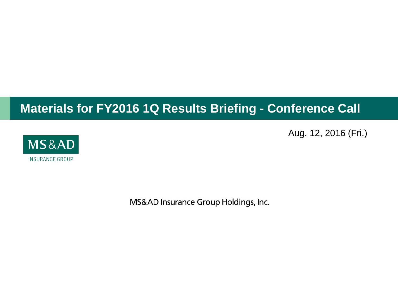## **Materials for FY2016 1Q Results Briefing - Conference Call**

Aug. 12, 2016 (Fri.)



MS&AD Insurance Group Holdings, Inc.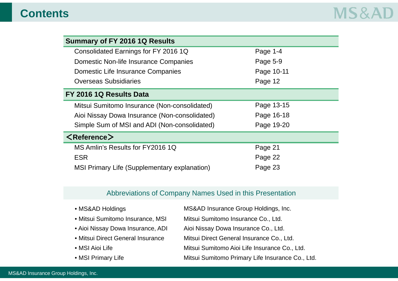### **Contents**

| <b>Summary of FY 2016 1Q Results</b>          |            |
|-----------------------------------------------|------------|
| Consolidated Earnings for FY 2016 1Q          | Page 1-4   |
| Domestic Non-life Insurance Companies         | Page 5-9   |
| Domestic Life Insurance Companies             | Page 10-11 |
| <b>Overseas Subsidiaries</b>                  | Page 12    |
| FY 2016 1Q Results Data                       |            |
| Mitsui Sumitomo Insurance (Non-consolidated)  | Page 13-15 |
| Aioi Nissay Dowa Insurance (Non-consolidated) | Page 16-18 |
| Simple Sum of MSI and ADI (Non-consolidated)  | Page 19-20 |
| $\langle$ Reference $\rangle$                 |            |
| MS Amlin's Results for FY2016 1Q              | Page 21    |
| <b>ESR</b>                                    | Page 22    |
| MSI Primary Life (Supplementary explanation)  | Page 23    |

#### Abbreviations of Company Names Used in this Presentation

- MS&AD Holdings MS&AD Insurance Group Holdings, Inc. • Mitsui Sumitomo Insurance, MSI Mitsui Sumitomo Insurance Co., Ltd. • Aioi Nissay Dowa Insurance, ADI Aioi Nissay Dowa Insurance Co., Ltd. • Mitsui Direct General Insurance Mitsui Direct General Insurance Co., Ltd. • MSI Aioi Life **Mitsui Sumitomo Aioi Life Insurance Co.**, Ltd. • MSI Primary Life Mitsui Sumitomo Primary Life Insurance Co., Ltd.
- MS&AD Insurance Group Holdings, Inc.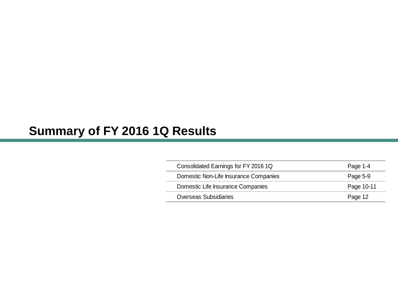## **Summary of FY 2016 1Q Results**

| Consolidated Earnings for FY 2016 1Q  | Page 1-4   |
|---------------------------------------|------------|
| Domestic Non-Life Insurance Companies | Page 5-9   |
| Domestic Life Insurance Companies     | Page 10-11 |
| <b>Overseas Subsidiaries</b>          | Page 12    |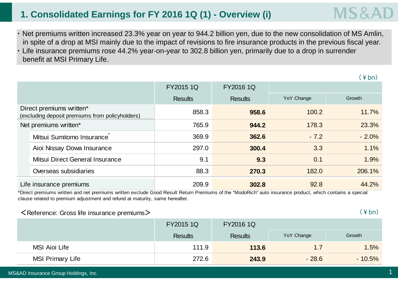### **1. Consolidated Earnings for FY 2016 1Q (1) - Overview (i)**

- ・ Net premiums written increased 23.3% year on year to 944.2 billion yen, due to the new consolidation of MS Amlin, in spite of a drop at MSI mainly due to the impact of revisions to fire insurance products in the previous fiscal year.
- ・ Life insurance premiums rose 44.2% year-on-year to 302.8 billion yen, primarily due to a drop in surrender benefit at MSI Primary Life.

|                                                                             |                                 | FY2015 1Q      | FY2016 1Q      |            |         |
|-----------------------------------------------------------------------------|---------------------------------|----------------|----------------|------------|---------|
|                                                                             |                                 | <b>Results</b> | <b>Results</b> | YoY Change | Growth  |
| Direct premiums written*<br>(excluding deposit premiums from policyholders) |                                 | 858.3          | 958.6          | 100.2      | 11.7%   |
| Net premiums written*                                                       |                                 | 765.9          | 944.2          | 178.3      | 23.3%   |
|                                                                             | Mitsui Sumitomo Insurance       | 369.9          | 362.6          | $-7.2$     | $-2.0%$ |
|                                                                             | Aioi Nissay Dowa Insurance      | 297.0          | 300.4          | 3.3        | 1.1%    |
|                                                                             | Mitsui Direct General Insurance | 9.1            | 9.3            | 0.1        | 1.9%    |
|                                                                             | Overseas subsidiaries           | 88.3           | 270.3          | 182.0      | 206.1%  |
| Life insurance premiums                                                     |                                 | 209.9          | 302.8          | 92.8       | 44.2%   |

\*Direct premiums written and net premiums written exclude Good Result Return Premiums of the "ModoRich" auto insurance product, which contains a special clause related to premium adjustment and refund at maturity, same hereafter.

#### $\leq$  Reference: Gross life insurance premiums $\geq$

 $(\frac{4}{5})$ 

|                         | <b>FY2015 1Q</b> | FY2016 1Q      |            |          |  |
|-------------------------|------------------|----------------|------------|----------|--|
|                         | <b>Results</b>   | <b>Results</b> | YoY Change | Growth   |  |
| <b>MSI Aioi Life</b>    | 111.9            | 113.6          | 1.7        | 1.5%     |  |
| <b>MSI Primary Life</b> | 272.6            | 243.9          | $-28.6$    | $-10.5%$ |  |

 $(\frac{4}{5})$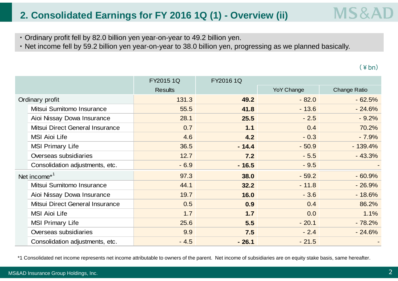### **2. Consolidated Earnings for FY 2016 1Q (1) - Overview (ii)**

- ・ Ordinary profit fell by 82.0 billion yen year-on-year to 49.2 billion yen.
- ・ Net income fell by 59.2 billion yen year-on-year to 38.0 billion yen, progressing as we planned basically.

 $(\frac{4}{5})$ 

**MS&A** 

|                                 | FY2015 1Q      | FY2016 1Q |                   |                     |
|---------------------------------|----------------|-----------|-------------------|---------------------|
|                                 | <b>Results</b> |           | <b>YoY Change</b> | <b>Change Ratio</b> |
| Ordinary profit                 | 131.3          | 49.2      | $-82.0$           | $-62.5%$            |
| Mitsui Sumitomo Insurance       | 55.5           | 41.8      | $-13.6$           | $-24.6%$            |
| Aioi Nissay Dowa Insurance      | 28.1           | 25.5      | $-2.5$            | $-9.2%$             |
| Mitsui Direct General Insurance | 0.7            | 1.1       | 0.4               | 70.2%               |
| <b>MSI Aioi Life</b>            | 4.6            | 4.2       | $-0.3$            | $-7.9%$             |
| <b>MSI Primary Life</b>         | 36.5           | $-14.4$   | $-50.9$           | $-139.4%$           |
| Overseas subsidiaries           | 12.7           | 7.2       | $-5.5$            | $-43.3%$            |
| Consolidation adjustments, etc. | $-6.9$         | $-16.5$   | $-9.5$            |                     |
| Net income <sup>*1</sup>        | 97.3           | 38.0      | $-59.2$           | $-60.9%$            |
| Mitsui Sumitomo Insurance       | 44.1           | 32.2      | $-11.8$           | $-26.9%$            |
| Aioi Nissay Dowa Insurance      | 19.7           | 16.0      | $-3.6$            | $-18.6%$            |
| Mitsui Direct General Insurance | 0.5            | 0.9       | 0.4               | 86.2%               |
| <b>MSI Aioi Life</b>            | 1.7            | 1.7       | 0.0               | 1.1%                |
| <b>MSI Primary Life</b>         | 25.6           | 5.5       | $-20.1$           | $-78.2%$            |
| Overseas subsidiaries           | 9.9            | 7.5       | $-2.4$            | $-24.6%$            |
| Consolidation adjustments, etc. | $-4.5$         | $-26.1$   | $-21.5$           |                     |

\*1 Consolidated net income represents net income attributable to owners of the parent. Net income of subsidiaries are on equity stake basis, same hereafter.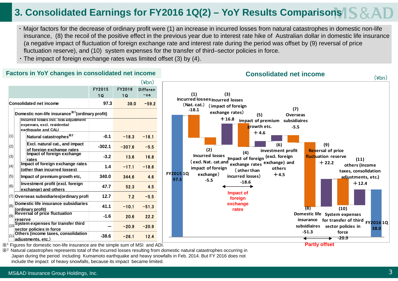### **3. Consolidated Earnings for FY2016 1Q(2) – YoY Results Comparisons**

- ・ Major factors for the decrease of ordinary profit were (1) an increase in incurred losses from natural catastrophes in domestic non-life insurance, (8) the recoil of the positive effect in the previous year due to interest rate hike of Australian dollar in domestic life insurance (a negative impact of fluctuation of foreign exchange rate and interest rate during the period was offset by (9) reversal of price fluctuation reserve), and (10) system expenses for the transfer of third–sector policies in force.
- ・ The impact of foreign exchange rates was limited offset (3) by (4).

#### **Factors in YoY changes in consolidated net income**

|      |                                                                                             |          |          | (¥bn)           |
|------|---------------------------------------------------------------------------------------------|----------|----------|-----------------|
|      |                                                                                             | FY2015   | FY2016   | <b>Differen</b> |
|      |                                                                                             | 1 Q      | 10       | -ce             |
|      | <b>Consolidated net income</b>                                                              | 97.3     | 38.0     | $-59.2$         |
|      | Domestic non-life insurance <sup>341</sup> (ordinary profit)                                |          |          |                 |
|      | Incurred losses incl. loss adjustment<br>expenses, excl. residential<br>earthquake and CALI |          |          |                 |
| (1)  | Natural catastrophes <sup>**</sup>                                                          | $-0.1$   | $-18.3$  | $-18.1$         |
| (2)  | Excl. natural cat., and impact<br>of foreign exchange rates                                 | $-302.1$ | $-307.6$ | $-5.5$          |
| (3)  | Impact of foreign exchange<br>rates                                                         | $-3.2$   | 13.6     | 16.8            |
| (4)  | Impact of foreign exchange rates<br>(other than incurred losses)                            | 1.4      | $-17.1$  | $-18.6$         |
| (5)  | Impact of premium growth etc,                                                               | 340.0    | 344.6    | 4.6             |
| (6)  | Investment profit (excl. foreign<br>exchange) and others                                    | 47.7     | 52.3     | 4.5             |
| (7)  | Overseas subsidiaries (ordinary profi                                                       | 12.7     | 7.2      | $-5.5$          |
| (8)  | Domestic life insurance subsidiaries<br>(ordinary profit)                                   | 41.1     | $-10.1$  | $-51.3$         |
| (9)  | <b>Reversal of price fluctuation</b><br>reserve                                             | $-1.6$   | 20.6     | 22.2            |
| (10) | System expenses for transfer third<br>sector policies in force                              |          | $-20.9$  | $-20.9$         |
| (11) | Others (income taxes, consolidation<br>adiustments, etc.)                                   | $-38.6$  | $-26.1$  | 12.4            |



**Consolidated net income**

※<sup>1</sup> Figures for domestic non-life insurance are the simple sum of MSI and ADI.

※<sup>2</sup> Natural catastrophes represents total of the incurred losses resulting from domestic natural catastrophes occurring in Japan during the period including Kumamoto earthquake and heavy snowfalls in Feb. 2014. But FY 2016 does not include the impact of heavy snowfalls, because its impact became limited.

**Partly offset**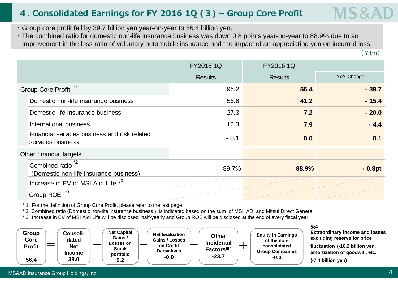### **4. Consolidated Earnings for FY 2016 1Q (3) – Group Core Profit**

- ・ Group core profit fell by 39.7 billion yen year-on-year to 56.4 billion yen.
- ・ The combined ratio for domestic non-life insurance business was down 0.8 points year-on-year to 88.9% due to an improvement in the loss ratio of voluntary automobile insurance and the impact of an appreciating yen on incurred loss.

 $(\frac{4}{3}$ hn)

MS&A

|                                                                        | FY2015 1Q      | FY2016 1Q      |            |
|------------------------------------------------------------------------|----------------|----------------|------------|
|                                                                        | <b>Results</b> | <b>Results</b> | YoY Change |
| Group Core Profit <sup>*1</sup>                                        |                | 96.2<br>56.4   | $-39.7$    |
| Domestic non-life insurance business                                   |                | 56.6<br>41.2   | $-15.4$    |
| Domestic life insurance business                                       |                | 27.3<br>7.2    | $-20.0$    |
| International business                                                 |                | 12.3<br>7.9    | $-4.4$     |
| Financial services business and risk related<br>services business      |                | $-0.1$<br>0.0  | 0.1        |
| Other financial targets                                                |                |                |            |
| Combined ratio <sup>*2</sup><br>(Domestic non-life insurance business) |                | 89.7%<br>88.9% | $-0.8pt$   |
| Increase in EV of MSI Aioi Life *3                                     |                |                |            |
| - 3<br><b>Group ROE</b>                                                |                |                |            |

\* 1 For the definition of Group Core Profit, please refer to the last page.

\* 2 Combined ratio (Domestic non-life insurance business ) is indicated based on the sum of MSI, ADI and Mitsui Direct General

\* 3 Increase in EV of MSI Aioi Life will be disclosed half-yearly and Group ROE will be disclosed at the end of every fiscal year.

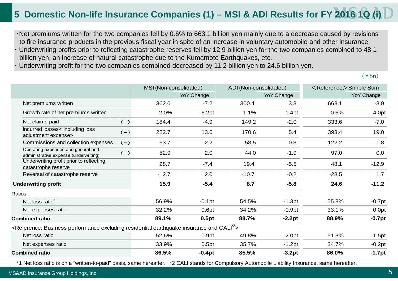### **5 Domestic Non-life Insurance Companies (1) – MSI & ADI Results for FY 2016 1Q (i)**

・Net premiums written for the two companies fell by 0.6% to 663.1 billion yen mainly due to a decrease caused by revisions to fire insurance products in the previous fiscal year in spite of an increase in voluntary automobile and other insurance.

- Underwriting profits prior to reflecting catastrophe reserves fell by 12.9 billion yen for the two companies combined to 48.1 billion yen, an increase of natural catastrophe due to the Kumamoto Earthquakes, etc.
- Underwriting profit for the two companies combined decreased by 11.2 billion yen to 24.6 billion yen.

 $(\frac{4}{3}$ hn)

|                                                                                                                                     |       | MSI (Non-consolidated) |            |         | ADI (Non-consolidated) | <reference>Simple Sum</reference> |            |  |
|-------------------------------------------------------------------------------------------------------------------------------------|-------|------------------------|------------|---------|------------------------|-----------------------------------|------------|--|
|                                                                                                                                     |       |                        | YoY Change |         | YoY Change             |                                   | YoY Change |  |
| Net premiums written                                                                                                                |       | 362.6                  | $-7.2$     | 300.4   | 3.3                    | 663.1                             | $-3.9$     |  |
| Growth rate of net premiums written                                                                                                 |       | $-2.0%$                | $-6.2pt$   | 1.1%    | $-1.4pt$               | $-0.6%$                           | $-4.0pt$   |  |
| Net claims paid                                                                                                                     | $(-)$ | 184.4                  | $-4.9$     | 149.2   | $-2.0$                 | 333.6                             | $-7.0$     |  |
| Incurred losses< including loss<br>adjustment expense>                                                                              | $(-)$ | 222.7                  | 13.6       | 170.6   | 5.4                    | 393.4                             | 19.0       |  |
| Commissions and collection expenses                                                                                                 | $(-)$ | 63.7                   | $-2.2$     | 58.5    | 0.3                    | 122.2                             | $-1.8$     |  |
| Operating expenses and general and<br>administrative expense (underwriting)                                                         | $(-)$ | 52.9                   | 2.0        | 44.0    | $-1.9$                 | 97.0                              | 0.0        |  |
| Underwriting profit prior to reflecting<br>catastrophe reserve                                                                      |       | 28.7                   | $-7.4$     | 19.4    | $-5.5$                 | 48.1                              | $-12.9$    |  |
| Reversal of catastrophe reserve                                                                                                     |       | $-12.7$                | 2.0        | $-10.7$ | $-0.2$                 | $-23.5$                           | 1.7        |  |
| <b>Underwriting profit</b>                                                                                                          |       | 15.9                   | $-5.4$     | 8.7     | $-5.8$                 | 24.6                              | $-11.2$    |  |
| Ratios                                                                                                                              |       |                        |            |         |                        |                                   |            |  |
| Net loss ratio <sup>1</sup>                                                                                                         |       | 56.9%                  | $-0.1pt$   | 54.5%   | $-1.3pt$               | 55.8%                             | $-0.7$ pt  |  |
| Net expenses ratio                                                                                                                  |       | 32.2%                  | 0.6pt      | 34.2%   | $-0.9pt$               | 33.1%                             | 0.0pt      |  |
| <b>Combined ratio</b>                                                                                                               |       | 89.1%                  | 0.5pt      | 88.7%   | $-2.2pt$               | 88.9%                             | $-0.7pt$   |  |
| <reference: and="" business="" cali<sup="" earthquake="" excluding="" insurance="" performance="" residential="">2&gt;</reference:> |       |                        |            |         |                        |                                   |            |  |
| Net loss ratio                                                                                                                      |       | 52.6%                  | $-0.9pt$   | 49.8%   | $-2.0pt$               | 51.3%                             | $-1.5pt$   |  |
| Net expenses ratio                                                                                                                  |       | 33.9%                  | 0.5pt      | 35.7%   | $-1.2pt$               | 34.7%                             | $-0.2pt$   |  |
| <b>Combined ratio</b>                                                                                                               |       | 86.5%                  | $-0.4pt$   | 85.5%   | $-3.2pt$               | 86.0%                             | $-1.7pt$   |  |

\*1 Net loss ratio is on a "written-to-paid" basis, same hereafter. \*2 CALI stands for Compulsory Automobile Liability Insurance, same hereafter.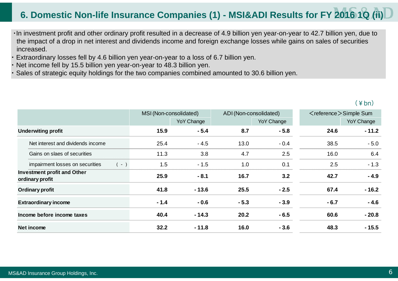### **6. Domestic Non-life Insurance Companies (1) - MSI&ADI Results for FY 2016 1Q (ii)**

- ・In investment profit and other ordinary profit resulted in a decrease of 4.9 billion yen year-on-year to 42.7 billion yen, due to the impact of a drop in net interest and dividends income and foreign exchange losses while gains on sales of securities increased.
- Extraordinary losses fell by 4.6 billion yen year-on-year to a loss of 6.7 billion yen.
- ・Net income fell by 15.5 billion yen year-on-year to 48.3 billion yen.
- Sales of strategic equity holdings for the two companies combined amounted to 30.6 billion yen.

#### $(\frac{4}{5})$

|                                                       | MSI (Non-consolidated) |                   |        | ADI (Non-consolidated) |        | $\leq$ reference $\geq$ Simple Sum |  |
|-------------------------------------------------------|------------------------|-------------------|--------|------------------------|--------|------------------------------------|--|
|                                                       |                        | <b>YoY Change</b> |        | YoY Change             |        | <b>YoY Change</b>                  |  |
| <b>Underwiting profit</b>                             | 15.9                   | $-5.4$            | 8.7    | $-5.8$                 | 24.6   | $-11.2$                            |  |
| Net interest and dividends income                     | 25.4                   | $-4.5$            | 13.0   | $-0.4$                 | 38.5   | $-5.0$                             |  |
| Gains on slaes of securities                          | 11.3                   | 3.8               | 4.7    | 2.5                    | 16.0   | 6.4                                |  |
| impairment losses on securities<br>$(-)$              | 1.5                    | $-1.5$            | 1.0    | 0.1                    | 2.5    | $-1.3$                             |  |
| <b>Investment profit and Other</b><br>ordinary profit | 25.9                   | $-8.1$            | 16.7   | 3.2                    | 42.7   | $-4.9$                             |  |
| <b>Ordinary profit</b>                                | 41.8                   | $-13.6$           | 25.5   | $-2.5$                 | 67.4   | $-16.2$                            |  |
| <b>Extraordinary income</b>                           | $-1.4$                 | $-0.6$            | $-5.3$ | $-3.9$                 | $-6.7$ | $-4.6$                             |  |
| Income before income taxes                            | 40.4                   | $-14.3$           | 20.2   | $-6.5$                 | 60.6   | $-20.8$                            |  |
| Net income                                            | 32.2                   | $-11.8$           | 16.0   | $-3.6$                 | 48.3   | $-15.5$                            |  |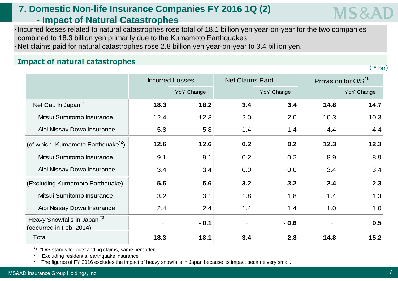### **7. Domestic Non-life Insurance Companies FY 2016 1Q (2) - Impact of Natural Catastrophes**

・Incurred losses related to natural catastrophes rose total of 18.1 billion yen year-on-year for the two companies combined to 18.3 billion yen primarily due to the Kumamoto Earthquakes.

・Net claims paid for natural catastrophes rose 2.8 billion yen year-on-year to 3.4 billion yen.

## **Impact of natural catastrophes** *(\\\\)* **4bn)** *(\\)* **4bn)** *(\\)* **<b>***(\\) (\\) (\\) (\\) (\\) (\\) (\\) (\\) (\\)**(\\)* **<b>***(\\) (\\) (\\) (\\)**)*

|                                                                  |                | <b>Incurred Losses</b> | <b>Net Claims Paid</b> |            | Provision for O/S <sup>*1</sup> |            |  |
|------------------------------------------------------------------|----------------|------------------------|------------------------|------------|---------------------------------|------------|--|
|                                                                  |                | YoY Change             |                        | YoY Change |                                 | YoY Change |  |
| Net Cat. In Japan <sup>2</sup>                                   | 18.3           | 18.2                   | 3.4                    | 3.4        | 14.8                            | 14.7       |  |
| Mitsui Sumitomo Insurance                                        | 12.4           | 12.3                   | 2.0                    | 2.0        | 10.3                            | 10.3       |  |
| Aioi Nissay Dowa Insurance                                       | 5.8            | 5.8                    | 1.4                    | 1.4        | 4.4                             | 4.4        |  |
| (of which, Kumamoto Earthquake <sup>2</sup> )                    | 12.6           | 12.6                   | 0.2                    | 0.2        | 12.3                            | 12.3       |  |
| Mitsui Sumitomo Insurance                                        | 9.1            | 9.1                    | 0.2                    | 0.2        | 8.9                             | 8.9        |  |
| Aioi Nissay Dowa Insurance                                       | 3.4            | 3.4                    | 0.0                    | 0.0        | 3.4                             | 3.4        |  |
| (Excluding Kumamoto Earthquake)                                  | 5.6            | 5.6                    | 3.2                    | 3.2        | 2.4                             | 2.3        |  |
| Mitsui Sumitomo Insurance                                        | 3.2            | 3.1                    | 1.8                    | 1.8        | 1.4                             | 1.3        |  |
| Aioi Nissay Dowa Insurance                                       | 2.4            | 2.4                    | 1.4                    | 1.4        | 1.0                             | 1.0        |  |
| Heavy Snowfalls in Japan <sup>3</sup><br>(occurred in Feb. 2014) | $\blacksquare$ | $-0.1$                 | $\blacksquare$         | $-0.6$     | $\blacksquare$                  | 0.5        |  |
| Total                                                            | 18.3           | 18.1                   | 3.4                    | 2.8        | 14.8                            | 15.2       |  |

\*1 "O/S stands for outstanding claims, same hereafter.

\*2 Excluding residential earthquake insurance

\*3 The figures of FY 2016 excludes the impact of heavy snowfalls in Japan because its impact became very small.

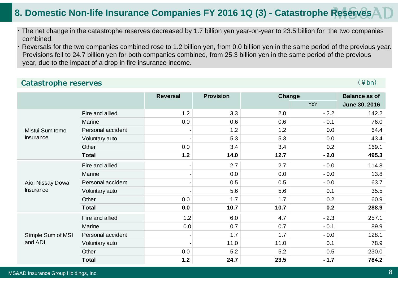### **8. Domestic Non-life Insurance Companies FY 2016 1Q (3) - Catastrophe Reserves**

- ・ The net change in the catastrophe reserves decreased by 1.7 billion yen year-on-year to 23.5 billion for the two companies combined.
- ・ Reversals for the two companies combined rose to 1.2 billion yen, from 0.0 billion yen in the same period of the previous year. Provisions fell to 24.7 billion yen for both companies combined, from 25.3 billion yen in the same period of the previous year, due to the impact of a drop in fire insurance income.

#### **Catastrophe reserves** (¥bn)

|                   |                   | <b>Reversal</b> | <b>Provision</b> |      | Change |                      |  |  |
|-------------------|-------------------|-----------------|------------------|------|--------|----------------------|--|--|
|                   |                   |                 |                  |      | YoY    | <b>June 30, 2016</b> |  |  |
|                   | Fire and allied   | 1.2             | 3.3              | 2.0  | $-2.2$ | 142.2                |  |  |
|                   | Marine            | 0.0             | 0.6              | 0.6  | $-0.1$ | 76.0                 |  |  |
| Mistui Sumitomo   | Personal accident |                 | 1.2              | 1.2  | 0.0    | 64.4                 |  |  |
| <b>Insurance</b>  | Voluntary auto    |                 | 5.3              | 5.3  | 0.0    | 43.4                 |  |  |
|                   | Other             | 0.0             | 3.4              | 3.4  | 0.2    | 169.1                |  |  |
|                   | <b>Total</b>      | $1.2$           | 14.0             | 12.7 | $-2.0$ | 495.3                |  |  |
|                   | Fire and allied   |                 | 2.7              | 2.7  | $-0.0$ | 114.8                |  |  |
|                   | Marine            |                 | 0.0              | 0.0  | $-0.0$ | 13.8                 |  |  |
| Aioi Nissay Dowa  | Personal accident |                 | 0.5              | 0.5  | $-0.0$ | 63.7                 |  |  |
| <b>Insurance</b>  | Voluntary auto    |                 | 5.6              | 5.6  | 0.1    | 35.5                 |  |  |
|                   | Other             | 0.0             | 1.7              | 1.7  | 0.2    | 60.9                 |  |  |
|                   | <b>Total</b>      | 0.0             | 10.7             | 10.7 | 0.2    | 288.9                |  |  |
|                   | Fire and allied   | 1.2             | 6.0              | 4.7  | $-2.3$ | 257.1                |  |  |
|                   | Marine            | 0.0             | 0.7              | 0.7  | $-0.1$ | 89.9                 |  |  |
| Simple Sum of MSI | Personal accident |                 | 1.7              | 1.7  | $-0.0$ | 128.1                |  |  |
| and ADI           | Voluntary auto    |                 | 11.0             | 11.0 | 0.1    | 78.9                 |  |  |
|                   | Other             | 0.0             | 5.2              | 5.2  | 0.5    | 230.0                |  |  |
|                   | <b>Total</b>      | $1.2$           | 24.7             | 23.5 | $-1.7$ | 784.2                |  |  |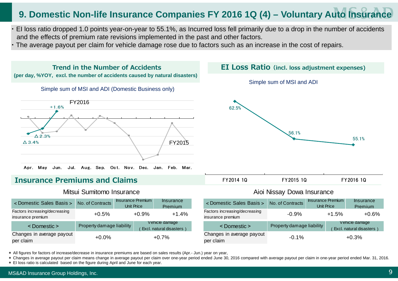### **9. Domestic Non-life Insurance Companies FY 2016 1Q (4) – Voluntary Auto Insurance**

- ・ EI loss ratio dropped 1.0 points year-on-year to 55.1%, as Incurred loss fell primarily due to a drop in the number of accidents and the effects of premium rate revisions implemented in the past and other factors.
- ・ The average payout per claim for vehicle damage rose due to factors such as an increase in the cost of repairs.



**Trend in the Number of Accidents** 

#### **Insurance Premiums and Claims**

#### Mitsui Sumitomo Insurance **Aioi Nissay Dowa Insurance** Aioi Nissay Dowa Insurance

| < Domestic Sales Basis >                           | No. of Contracts          | <b>Insurance Premium</b><br>Unit Price |         | Insurance<br>Premium                       | <domestic basis="" sales=""></domestic>            | No. of Contracts          | Unit Price | <b>Insurance Premium</b> | Insurance<br>Premium                       |
|----------------------------------------------------|---------------------------|----------------------------------------|---------|--------------------------------------------|----------------------------------------------------|---------------------------|------------|--------------------------|--------------------------------------------|
| Factors increasing/decreasing<br>insurance premium | $+0.5%$                   |                                        | $+0.9%$ | $+1.4%$                                    | Factors increasing/decreasing<br>insurance premium | $-0.9%$                   |            | $+1.5%$                  | $+0.6%$                                    |
| <domestic></domestic>                              | Property damage liability |                                        |         | Vehicle damage<br>Excl. natural disasters) | <domestic></domestic>                              | Property damage liability |            |                          | Vehicle damage<br>Excl. natural disasters) |
| Changes in average payout<br>per claim             | $+0.0%$                   |                                        |         | $+0.7%$                                    | Changes in average payout<br>per claim             | $-0.1%$                   |            |                          | $+0.3%$                                    |



Simple sum of MSI and ADI



| pntracts | <b>Insurance Premium</b><br>Unit Price | Insurance<br>Premium                        | <domestic basis="" sales=""></domestic>            | No. of Contracts          | <b>Insurance Premium</b><br><b>Unit Price</b> | <b>Insurance</b><br>Premium                 |
|----------|----------------------------------------|---------------------------------------------|----------------------------------------------------|---------------------------|-----------------------------------------------|---------------------------------------------|
| ⊦0.5%    | $+0.9%$                                | $+1.4%$                                     | Factors increasing/decreasing<br>insurance premium | $-0.9\%$                  | $+1.5%$                                       | $+0.6%$                                     |
|          | damage liability                       | Vehicle damage<br>Excl. natural disasters ) | <domestic></domestic>                              | Property damage liability |                                               | Vehicle damage<br>Excl. natural disasters ) |
| +0.0%    |                                        | $+0.7%$                                     | Changes in average payout<br>per claim             | $-0.1%$                   |                                               | $+0.3%$                                     |

\* All figures for factors of increase/decrease in insurance premiums are based on sales results (Apr.- Jun.) year on year,

\* Changes in average payout per claim means change in average payout per claim over one-year period ended June 30, 2016 compared with average payout per claim in one-year period ended Mar. 31, 2016.

\* EI loss ratio is calculated based on the figure during April and June for each year.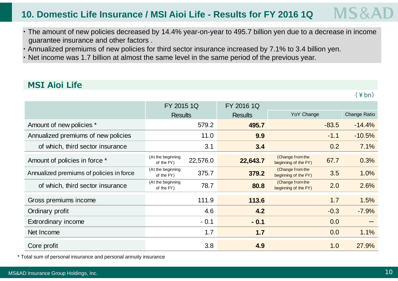#### MS& **10. Domestic Life Insurance / MSI Aioi Life - Results for FY 2016 1Q**

- ・ The amount of new policies decreased by 14.4% year-on-year to 495.7 billion yen due to a decrease in income guarantee insurance and other factors .
- ・ Annualized premiums of new policies for third sector insurance increased by 7.1% to 3.4 billion yen.
- ・Net income was 1.7 billion at almost the same level in the same period of the previous year.

### **MSI Aioi Life**

 $(\nPsi$ bn)

|                                          | FY 2015 1Q                                  | FY 2016 1Q     |                                                  |              |
|------------------------------------------|---------------------------------------------|----------------|--------------------------------------------------|--------------|
|                                          | <b>Results</b>                              | <b>Results</b> | YoY Change                                       | Change Ratio |
| Amount of new policies *                 | 579.2                                       | 495.7          | $-83.5$                                          | $-14.4%$     |
| Annualized premiums of new policies      | 11.0                                        | 9.9            | $-1.1$                                           | $-10.5%$     |
| of which, third sector insurance         | 3.1                                         | 3.4            | 0.2                                              | 7.1%         |
| Amount of policies in force *            | (At the beginning<br>22,576.0<br>of the FY) | 22,643.7       | (Change from the<br>67.7<br>beginning of the FY) | 0.3%         |
| Annualized premiums of policies in force | (At the beginning<br>375.7<br>of the FY)    | 379.2          | (Change from the<br>3.5<br>beginning of the FY)  | 1.0%         |
| of which, third sector insurance         | (At the beginning<br>78.7<br>of the FY)     | 80.8           | (Change from the<br>2.0<br>beginning of the FY)  | 2.6%         |
| Gross premiums income                    | 111.9                                       | 113.6          | 1.7                                              | 1.5%         |
| Ordinary profit                          | 4.6                                         | 4.2            | $-0.3$                                           | $-7.9%$      |
| <b>Extrordinary income</b>               | $-0.1$                                      | $-0.1$         | 0.0                                              |              |
| Net Income                               | 1.7                                         | 1.7            | 0.0                                              | 1.1%         |
| Core profit                              | 3.8                                         | 4.9            | 1.0                                              | 27.9%        |

\* Total sum of personal insurance and personal annuity insurance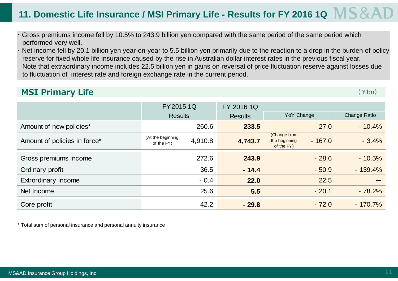## 11. Domestic Life Insurance / MSI Primary Life - Results for FY 2016 1Q MS & A

- ・ Gross premiums income fell by 10.5% to 243.9 billion yen compared with the same period of the same period which performed very well.
- ・ Net income fell by 20.1 billion yen year-on-year to 5.5 billion yen primarily due to the reaction to a drop in the burden of policy reserve for fixed whole life insurance caused by the rise in Australian dollar interest rates in the previous fiscal year. Note that extraordinary income includes 22.5 billion yen in gains on reversal of price fluctuation reserve against losses due to fluctuation of interest rate and foreign exchange rate in the current period.

#### **MSI Primary Life** (\*bn)

|                              | FY 2015 1Q<br>FY 2016 1Q                   |                |                                                         |              |  |
|------------------------------|--------------------------------------------|----------------|---------------------------------------------------------|--------------|--|
|                              | <b>Results</b>                             | <b>Results</b> | YoY Change                                              | Change Ratio |  |
| Amount of new policies*      | 260.6                                      | 233.5          | $-27.0$                                                 | $-10.4%$     |  |
| Amount of policies in force* | (At the beginning<br>4,910.8<br>of the FY) | 4,743.7        | (Change from<br>$-167.0$<br>the beginning<br>of the FY) | $-3.4%$      |  |
| Gross premiums income        | 272.6                                      | 243.9          | $-28.6$                                                 | $-10.5%$     |  |
| Ordinary profit              | 36.5                                       | $-14.4$        | $-50.9$                                                 | $-139.4%$    |  |
| Extrordinary income          | $-0.4$                                     | 22.0           | 22.5                                                    |              |  |
| Net Income                   | 25.6                                       | 5.5            | $-20.1$                                                 | $-78.2%$     |  |
| Core profit                  | 42.2                                       | $-29.8$        | $-72.0$                                                 | $-170.7\%$   |  |

\* Total sum of personal insurance and personal annuity insurance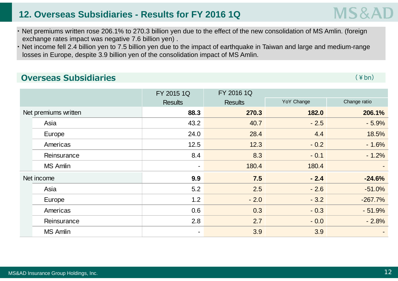### **12. Overseas Subsidiaries - Results for FY 2016 1Q**

- ・ Net premiums written rose 206.1% to 270.3 billion yen due to the effect of the new consolidation of MS Amlin. (foreign exchange rates impact was negative 7.6 billion yen) .
- Net income fell 2.4 billion yen to 7.5 billion yen due to the impact of earthquake in Taiwan and large and medium-range losses in Europe, despite 3.9 billion yen of the consolidation impact of MS Amlin.

### **Overseas Subsidiaries**

 $\mathsf S$  (  $\mathsf{\mathsf {Ybn}}$  )

|            |                      | FY 2015 1Q     | FY 2016 1Q     |            |              |  |  |
|------------|----------------------|----------------|----------------|------------|--------------|--|--|
|            |                      | <b>Results</b> | <b>Results</b> | YoY Change | Change ratio |  |  |
|            | Net premiums written | 88.3           | 270.3          | 182.0      | 206.1%       |  |  |
| Asia       |                      | 43.2           | 40.7           | $-2.5$     | $-5.9%$      |  |  |
|            | Europe               | 24.0           | 28.4           | 4.4        | 18.5%        |  |  |
|            | Americas             | 12.5           | 12.3           | $-0.2$     | $-1.6%$      |  |  |
|            | Reinsurance          | 8.4            | 8.3            | $-0.1$     | $-1.2%$      |  |  |
|            | <b>MS Amlin</b>      | $\sim$         | 180.4          | 180.4      |              |  |  |
| Net income |                      | 9.9            | 7.5            | $-2.4$     | $-24.6%$     |  |  |
| Asia       |                      | 5.2            | 2.5            | $-2.6$     | $-51.0%$     |  |  |
|            | Europe               | 1.2            | $-2.0$         | $-3.2$     | $-267.7%$    |  |  |
|            | Americas             | 0.6            | 0.3            | $-0.3$     | $-51.9%$     |  |  |
|            | Reinsurance          | 2.8            | 2.7            | $-0.0$     | $-2.8%$      |  |  |
|            | <b>MS Amlin</b>      | $\blacksquare$ | 3.9            | 3.9        |              |  |  |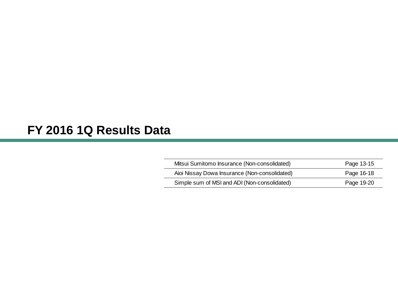## **FY 2016 1Q Results Data**

| Mitsui Sumitomo Insurance (Non-consolidated)  | Page 13-15 |
|-----------------------------------------------|------------|
| Aioi Nissay Dowa Insurance (Non-consolidated) | Page 16-18 |
| Simple sum of MSI and ADI (Non-consolidated)  | Page 19-20 |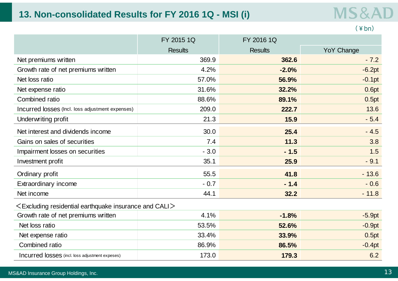### **13. Non-consolidated Results for FY 2016 1Q - MSI (i)**

| A I D<br>- |  |  |
|------------|--|--|
|            |  |  |

(¥bn)

|                                                                | FY 2015 1Q     | FY 2016 1Q     |                   |
|----------------------------------------------------------------|----------------|----------------|-------------------|
|                                                                | <b>Results</b> | <b>Results</b> | <b>YoY Change</b> |
| Net premiums written                                           | 369.9          | 362.6          | $-7.2$            |
| Growth rate of net premiums written                            | 4.2%           | $-2.0%$        | $-6.2pt$          |
| Net loss ratio                                                 | 57.0%          | 56.9%          | $-0.1pt$          |
| Net expense ratio                                              | 31.6%          | 32.2%          | 0.6pt             |
| Combined ratio                                                 | 88.6%          | 89.1%          | 0.5pt             |
| Incurred losses (Incl. loss adjustment expenses)               | 209.0          | 222.7          | 13.6              |
| Underwriting profit                                            | 21.3           | 15.9           | $-5.4$            |
| Net interest and dividends income                              | 30.0           | 25.4           | $-4.5$            |
| Gains on sales of securities                                   | 7.4            | 11.3           | 3.8               |
| Impairment losses on securities                                | $-3.0$         | $-1.5$         | 1.5               |
| Investment profit                                              | 35.1           | 25.9           | $-9.1$            |
| Ordinary profit                                                | 55.5           | 41.8           | $-13.6$           |
| Extraordinary income                                           | $-0.7$         | $-1.4$         | $-0.6$            |
| Net income                                                     | 44.1           | 32.2           | $-11.8$           |
| $\leq$ Excluding residential earthquake insurance and CALI $>$ |                |                |                   |
| Growth rate of net premiums written                            | 4.1%           | $-1.8%$        | $-5.9pt$          |
| Net loss ratio                                                 | 53.5%          | 52.6%          | $-0.9pt$          |
| Net expense ratio                                              | 33.4%          | 33.9%          | 0.5pt             |
| Combined ratio                                                 | 86.9%          | 86.5%          | $-0.4pt$          |
| Incurred losses (incl. loss adjustment expeses)                | 173.0          | 179.3          | 6.2               |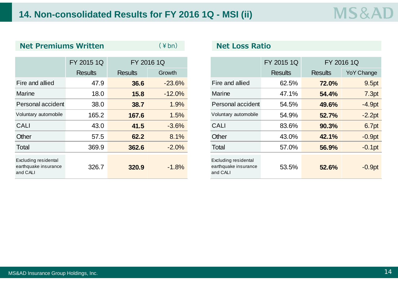| <b>Net Premiums Written</b>                              |                | $(\nless h)$   | <b>Net Loss Ratio</b> |                                                          |                |                |                   |  |
|----------------------------------------------------------|----------------|----------------|-----------------------|----------------------------------------------------------|----------------|----------------|-------------------|--|
|                                                          |                |                |                       |                                                          |                |                |                   |  |
|                                                          | FY 2015 1Q     |                | FY 2016 1Q            |                                                          | FY 2015 1Q     |                | FY 2016 1Q        |  |
|                                                          | <b>Results</b> | <b>Results</b> | Growth                |                                                          | <b>Results</b> | <b>Results</b> | <b>YoY Change</b> |  |
| Fire and allied                                          | 47.9           | 36.6           | $-23.6%$              | Fire and allied                                          | 62.5%          | 72.0%          | 9.5pt             |  |
| <b>Marine</b>                                            | 18.0           | 15.8           | $-12.0%$              | <b>Marine</b>                                            | 47.1%          | 54.4%          | 7.3pt             |  |
| Personal accident                                        | 38.0           | 38.7           | 1.9%                  | Personal accident                                        | 54.5%          | 49.6%          | $-4.9pt$          |  |
| Voluntary automobile                                     | 165.2          | 167.6          | 1.5%                  | Voluntary automobile                                     | 54.9%          | 52.7%          | $-2.2pt$          |  |
| <b>CALI</b>                                              | 43.0           | 41.5           | $-3.6%$               | <b>CALI</b>                                              | 83.6%          | 90.3%          | 6.7pt             |  |
| Other                                                    | 57.5           | 62.2           | 8.1%                  | Other                                                    | 43.0%          | 42.1%          | $-0.9pt$          |  |
| Total                                                    | 369.9          | 362.6          | $-2.0%$               | Total                                                    | 57.0%          | 56.9%          | $-0.1$ pt         |  |
| Excluding residental<br>earthquake insurance<br>and CALI | 326.7          | 320.9          | $-1.8%$               | Excluding residental<br>earthquake insurance<br>and CALI | 53.5%          | 52.6%          | $-0.9pt$          |  |

#### **Net Loss Ratio**

|                                       | FY 2015 1Q     |                | FY 2016 1Q |                                                          | FY 2015 1Q     |                | FY 2016 1Q |  |
|---------------------------------------|----------------|----------------|------------|----------------------------------------------------------|----------------|----------------|------------|--|
|                                       | <b>Results</b> | <b>Results</b> | Growth     |                                                          | <b>Results</b> | <b>Results</b> |            |  |
| <b>nd allied</b>                      | 47.9           | 36.6           | $-23.6%$   | Fire and allied                                          | 62.5%          | 72.0%          |            |  |
| e                                     | 18.0           | 15.8           | $-12.0%$   | <b>Marine</b>                                            | 47.1%          | 54.4%          |            |  |
| <sub>nal accident</sub>               | 38.0           | 38.7           | 1.9%       | Personal accident                                        | 54.5%          | 49.6%          |            |  |
| ary automobile                        | 165.2          | 167.6          | 1.5%       | Voluntary automobile                                     | 54.9%          | 52.7%          |            |  |
|                                       | 43.0           | 41.5           | $-3.6%$    | <b>CALI</b>                                              | 83.6%          | 90.3%          |            |  |
|                                       | 57.5           | 62.2           | 8.1%       | Other                                                    | 43.0%          | 42.1%          |            |  |
|                                       | 369.9          | 362.6          | $-2.0%$    | Total                                                    | 57.0%          | 56.9%          |            |  |
| ng residental<br>iake insurance<br>LI | 326.7          | 320.9          | $-1.8%$    | Excluding residental<br>earthquake insurance<br>and CALI | 53.5%          | 52.6%          |            |  |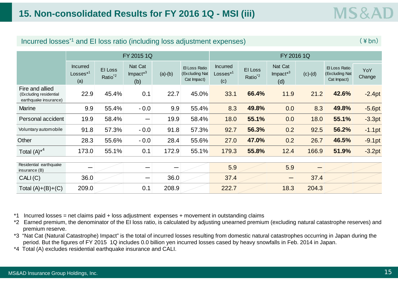| $\frac{1}{2}$ and $\frac{1}{2}$ and $\frac{1}{2}$ and $\frac{1}{2}$ and $\frac{1}{2}$ are $\frac{1}{2}$ and $\frac{1}{2}$ and $\frac{1}{2}$ and $\frac{1}{2}$ and $\frac{1}{2}$ |                                                |                                |                                              |           |                                                |                                              |                                |                                        |           |                                                |               |
|---------------------------------------------------------------------------------------------------------------------------------------------------------------------------------|------------------------------------------------|--------------------------------|----------------------------------------------|-----------|------------------------------------------------|----------------------------------------------|--------------------------------|----------------------------------------|-----------|------------------------------------------------|---------------|
|                                                                                                                                                                                 | FY 2015 1Q                                     |                                |                                              |           |                                                | FY 2016 1Q                                   |                                |                                        |           |                                                |               |
|                                                                                                                                                                                 | <b>Incurred</b><br>Losses <sup>*1</sup><br>(a) | EI Loss<br>Ratio <sup>*2</sup> | Nat Cat<br>$Im$ pact $*$ <sup>3</sup><br>(b) | $(a)-(b)$ | El Loss Ratio<br>(Excluding Nat<br>Cat Impact) | <b>Incurred</b><br>$\sf{Losses}^{*1}$<br>(c) | El Loss<br>Ratio <sup>*2</sup> | Nat Cat<br>Impact <sup>*3</sup><br>(d) | $(c)-(d)$ | El Loss Ratio<br>(Excluding Nat<br>Cat Impact) | YoY<br>Change |
| Fire and allied<br>(Excluding residential<br>earthquake insurance)                                                                                                              | 22.9                                           | 45.4%                          | 0.1                                          | 22.7      | 45.0%                                          | 33.1                                         | 66.4%                          | 11.9                                   | 21.2      | 42.6%                                          | $-2.4pt$      |
| <b>Marine</b>                                                                                                                                                                   | 9.9                                            | 55.4%                          | $-0.0$                                       | 9.9       | 55.4%                                          | 8.3                                          | 49.8%                          | 0.0                                    | 8.3       | 49.8%                                          | $-5.6pt$      |
| Personal accident                                                                                                                                                               | 19.9                                           | 58.4%                          | —                                            | 19.9      | 58.4%                                          | 18.0                                         | 55.1%                          | 0.0                                    | 18.0      | 55.1%                                          | $-3.3pt$      |
| Voluntary automobile                                                                                                                                                            | 91.8                                           | 57.3%                          | $-0.0$                                       | 91.8      | 57.3%                                          | 92.7                                         | 56.3%                          | 0.2                                    | 92.5      | 56.2%                                          | $-1.1$ pt     |
| Other                                                                                                                                                                           | 28.3                                           | 55.6%                          | $-0.0$                                       | 28.4      | 55.6%                                          | 27.0                                         | 47.0%                          | 0.2                                    | 26.7      | 46.5%                                          | $-9.1pt$      |
| Total $(A)^{*4}$                                                                                                                                                                | 173.0                                          | 55.1%                          | 0.1                                          | 172.9     | 55.1%                                          | 179.3                                        | 55.8%                          | 12.4                                   | 166.9     | 51.9%                                          | $-3.2pt$      |
| Residential earthquake<br>insurance (B)                                                                                                                                         |                                                |                                |                                              |           |                                                | 5.9                                          |                                | 5.9                                    |           |                                                |               |
| CALI(C)                                                                                                                                                                         | 36.0                                           |                                | —                                            | 36.0      |                                                | 37.4                                         |                                | —                                      | 37.4      |                                                |               |
| Total $(A)+(B)+(C)$                                                                                                                                                             | 209.0                                          |                                | 0.1                                          | 208.9     |                                                | 222.7                                        |                                | 18.3                                   | 204.3     |                                                |               |

Incurred losses\*1 and EI loss ratio (including loss adjustment expenses)

 $(\frac{1}{2}$  hn)

\*1 Incurred losses = net claims paid + loss adjustment expenses + movement in outstanding claims

\*2 Earned premium, the denominator of the EI loss ratio, is calculated by adjusting unearned premium (excluding natural catastrophe reserves) and premium reserve.

\*3 "Nat Cat (Natural Catastrophe) Impact" is the total of incurred losses resulting from domestic natural catastrophes occurring in Japan during the period. But the figures of FY 2015 1Q includes 0.0 billion yen incurred losses cased by heavy snowfalls in Feb. 2014 in Japan.

\*4 Total (A) excludes residential earthquake insurance and CALI.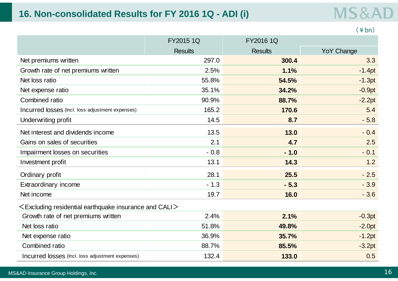### **16. Non-consolidated Results for FY 2016 1Q - ADI (i)**

## **MS&AD**

|                                                                |                |                | $(\yen b n)$      |
|----------------------------------------------------------------|----------------|----------------|-------------------|
|                                                                | FY2015 1Q      | FY2016 1Q      |                   |
|                                                                | <b>Results</b> | <b>Results</b> | <b>YoY Change</b> |
| Net premiums written                                           | 297.0          | 300.4          | 3.3               |
| Growth rate of net premiums written                            | 2.5%           | 1.1%           | $-1.4pt$          |
| Net loss ratio                                                 | 55.8%          | 54.5%          | $-1.3pt$          |
| Net expense ratio                                              | 35.1%          | 34.2%          | $-0.9pt$          |
| Combined ratio                                                 | 90.9%          | 88.7%          | $-2.2pt$          |
| Incurred losses (Incl. loss adjustment expenses)               | 165.2          | 170.6          | 5.4               |
| Underwriting profit                                            | 14.5           | 8.7            | $-5.8$            |
| Net interest and dividends income                              | 13.5           | 13.0           | $-0.4$            |
| Gains on sales of securities                                   | 2.1            | 4.7            | 2.5               |
| Impairment losses on securities                                | $-0.8$         | $-1.0$         | $-0.1$            |
| Investment profit                                              | 13.1           | 14.3           | 1.2               |
| Ordinary profit                                                | 28.1           | 25.5           | $-2.5$            |
| Extraordinary income                                           | $-1.3$         | $-5.3$         | $-3.9$            |
| Net income                                                     | 19.7           | 16.0           | $-3.6$            |
| $\leq$ Excluding residential earthquake insurance and CALI $>$ |                |                |                   |
| Growth rate of net premiums written                            | 2.4%           | 2.1%           | $-0.3pt$          |
| Net loss ratio                                                 | 51.8%          | 49.8%          | $-2.0pt$          |
| Net expense ratio                                              | 36.9%          | 35.7%          | $-1.2pt$          |
| Combined ratio                                                 | 88.7%          | 85.5%          | $-3.2pt$          |
| Incurred losses (Incl. loss adjustment expenses)               | 132.4          | 133.0          | 0.5               |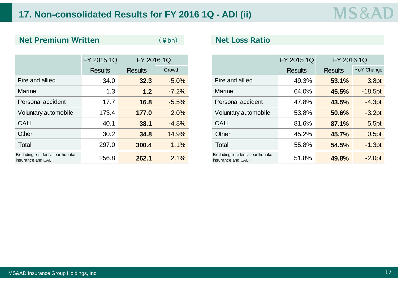### **17. Non-consolidated Results for FY 2016 1Q - ADI (ii)**

#### **Net Premium Written**

(¥bn)

|                                                        | FY 2015 1Q     |                | FY 2016 1Q |  |                                                        |                | FY 2016 1Q     |            |
|--------------------------------------------------------|----------------|----------------|------------|--|--------------------------------------------------------|----------------|----------------|------------|
|                                                        | <b>Results</b> | <b>Results</b> | Growth     |  |                                                        | <b>Results</b> | <b>Results</b> | YoY Change |
| Fire and allied                                        | 34.0           | 32.3           | $-5.0%$    |  | Fire and allied                                        | 49.3%          | 53.1%          | 3.8pt      |
| <b>Marine</b>                                          | 1.3            | 1.2            | $-7.2%$    |  | <b>Marine</b>                                          | 64.0%          | 45.5%          | $-18.5pt$  |
| Personal accident                                      | 17.7           | 16.8           | $-5.5%$    |  | Personal accident                                      | 47.8%          | 43.5%          | $-4.3pt$   |
| Voluntary automobile                                   | 173.4          | 177.0          | 2.0%       |  | Voluntary automobile                                   | 53.8%          | 50.6%          | $-3.2pt$   |
| <b>CALI</b>                                            | 40.1           | 38.1           | $-4.8%$    |  | <b>CALI</b>                                            | 81.6%          | 87.1%          | 5.5pt      |
| Other                                                  | 30.2           | 34.8           | 14.9%      |  | Other                                                  | 45.2%          | 45.7%          | 0.5pt      |
| Total                                                  | 297.0          | 300.4          | 1.1%       |  | Total                                                  | 55.8%          | 54.5%          | $-1.3pt$   |
| Excluding residential earthquake<br>insurance and CALI | 256.8          | 262.1          | 2.1%       |  | Excluding residential earthquake<br>insurance and CALI | 51.8%          | 49.8%          | $-2.0pt$   |

#### **Net Loss Ratio**

|                                         | FY 2015 1Q     | FY 2016 1Q     |         |                                                        | FY 2015 1Q     | FY 2016 1Q     |
|-----------------------------------------|----------------|----------------|---------|--------------------------------------------------------|----------------|----------------|
|                                         | <b>Results</b> | <b>Results</b> | Growth  |                                                        | <b>Results</b> | <b>Results</b> |
| and allied                              | 34.0           | 32.3           | $-5.0%$ | Fire and allied                                        | 49.3%          | 53.1%          |
| ne                                      | 1.3            | 1.2            | $-7.2%$ | <b>Marine</b>                                          | 64.0%          | 45.5%          |
| onal accident                           | 17.7           | 16.8           | $-5.5%$ | Personal accident                                      | 47.8%          | 43.5%          |
| ntary automobile                        | 173.4          | 177.0          | 2.0%    | Voluntary automobile                                   | 53.8%          | 50.6%          |
|                                         | 40.1           | 38.1           | $-4.8%$ | <b>CALI</b>                                            | 81.6%          | 87.1%          |
|                                         | 30.2           | 34.8           | 14.9%   | Other                                                  | 45.2%          | 45.7%          |
|                                         | 297.0          | 300.4          | 1.1%    | Total                                                  | 55.8%          | 54.5%          |
| g residential earthquake<br>ce and CALI | 256.8          | 262.1          | 2.1%    | Excluding residential earthquake<br>insurance and CALI | 51.8%          | 49.8%          |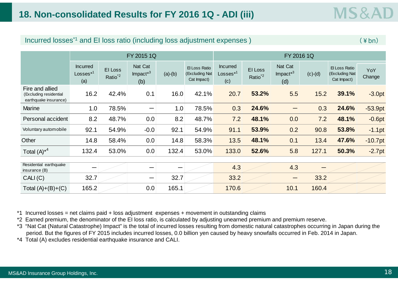|  | Incurred losses <sup>*1</sup> and EI loss ratio (including loss adjustment expenses) | $\pm$ bn) |
|--|--------------------------------------------------------------------------------------|-----------|
|--|--------------------------------------------------------------------------------------|-----------|

|                                                                    | FY 2015 1Q                                     |                                |                                        |           | FY 2016 1Q                                     |                                      |                                |                                        |           |                                                |               |
|--------------------------------------------------------------------|------------------------------------------------|--------------------------------|----------------------------------------|-----------|------------------------------------------------|--------------------------------------|--------------------------------|----------------------------------------|-----------|------------------------------------------------|---------------|
|                                                                    | <b>Incurred</b><br>Losses <sup>*1</sup><br>(a) | EI Loss<br>Ratio <sup>*2</sup> | Nat Cat<br>Impact <sup>*3</sup><br>(b) | $(a)-(b)$ | El Loss Ratio<br>(Excluding Nat<br>Cat Impact) | <b>Incurred</b><br>$Losses*1$<br>(c) | EI Loss<br>Ratio <sup>*2</sup> | Nat Cat<br>Impact <sup>*3</sup><br>(d) | $(c)-(d)$ | El Loss Ratio<br>(Excluding Nat<br>Cat Impact) | YoY<br>Change |
| Fire and allied<br>(Excluding residential<br>earthquake insurance) | 16.2                                           | 42.4%                          | 0.1                                    | 16.0      | 42.1%                                          | 20.7                                 | 53.2%                          | 5.5                                    | 15.2      | 39.1%                                          | $-3.0pt$      |
| <b>Marine</b>                                                      | 1.0                                            | 78.5%                          |                                        | 1.0       | 78.5%                                          | 0.3                                  | 24.6%                          | —                                      | 0.3       | 24.6%                                          | $-53.9pt$     |
| Personal accident                                                  | 8.2                                            | 48.7%                          | 0.0                                    | 8.2       | 48.7%                                          | 7.2                                  | 48.1%                          | 0.0                                    | 7.2       | 48.1%                                          | $-0.6pt$      |
| Voluntary automobile                                               | 92.1                                           | 54.9%                          | $-0.0$                                 | 92.1      | 54.9%                                          | 91.1                                 | 53.9%                          | 0.2                                    | 90.8      | 53.8%                                          | $-1.1$ pt     |
| Other                                                              | 14.8                                           | 58.4%                          | 0.0                                    | 14.8      | 58.3%                                          | 13.5                                 | 48.1%                          | 0.1                                    | 13.4      | 47.6%                                          | $-10.7$ pt    |
| Total $(A)^{*4}$                                                   | 132.4                                          | 53.0%                          | 0.0                                    | 132.4     | 53.0%                                          | 133.0                                | 52.6%                          | 5.8                                    | 127.1     | 50.3%                                          | $-2.7pt$      |
|                                                                    |                                                |                                |                                        |           |                                                |                                      |                                |                                        |           |                                                |               |
| Residential earthquake<br>insurance $(B)$                          |                                                |                                |                                        |           |                                                | 4.3                                  |                                | 4.3                                    |           |                                                |               |
| CALI(C)                                                            | 32.7                                           |                                |                                        | 32.7      |                                                | 33.2                                 |                                |                                        | 33.2      |                                                |               |
| Total $(A)+(B)+(C)$                                                | 165.2                                          |                                | 0.0                                    | 165.1     |                                                | 170.6                                |                                | 10.1                                   | 160.4     |                                                |               |

\*1 Incurred losses = net claims paid + loss adjustment expenses + movement in outstanding claims

\*2 Earned premium, the denominator of the EI loss ratio, is calculated by adjusting unearned premium and premium reserve.

\*3 "Nat Cat (Natural Catastrophe) Impact" is the total of incurred losses resulting from domestic natural catastrophes occurring in Japan during the period. But the figures of FY 2015 includes incurred losses, 0.0 billion yen caused by heavy snowfalls occurred in Feb. 2014 in Japan.

\*4 Total (A) excludes residential earthquake insurance and CALI.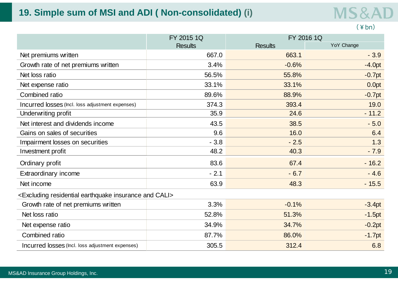### **19. Simple sum of MSI and ADI ( Non-consolidated) (i)**

**MS&AD** 

#### (¥bn)

|                                                                                  | FY 2015 1Q     | FY 2016 1Q     |            |  |
|----------------------------------------------------------------------------------|----------------|----------------|------------|--|
|                                                                                  | <b>Results</b> | <b>Results</b> | YoY Change |  |
| Net premiums written                                                             | 667.0          | 663.1          | $-3.9$     |  |
| Growth rate of net premiums written                                              | 3.4%           | $-0.6%$        | $-4.0pt$   |  |
| Net loss ratio                                                                   | 56.5%          | 55.8%          | $-0.7pt$   |  |
| Net expense ratio                                                                | 33.1%          | 33.1%          | 0.0pt      |  |
| Combined ratio                                                                   | 89.6%          | 88.9%          | $-0.7pt$   |  |
| Incurred losses (Incl. loss adjustment expenses)                                 | 374.3          | 393.4          | 19.0       |  |
| Underwriting profit                                                              | 35.9           | 24.6           | $-11.2$    |  |
| Net interest and dividends income                                                | 43.5           | 38.5           | $-5.0$     |  |
| Gains on sales of securities                                                     | 9.6            | 16.0           | 6.4        |  |
| Impairment losses on securities                                                  | $-3.8$         | $-2.5$         | 1.3        |  |
| Investment profit                                                                | 48.2           | 40.3           | $-7.9$     |  |
| Ordinary profit                                                                  | 83.6           | 67.4           | $-16.2$    |  |
| Extraordinary income                                                             | $-2.1$         | $-6.7$         | $-4.6$     |  |
| Net income                                                                       | 63.9           | 48.3           | $-15.5$    |  |
| <excluding and="" cali="" earthquake="" insurance="" residential=""></excluding> |                |                |            |  |
| Growth rate of net premiums written                                              | 3.3%           | $-0.1%$        | $-3.4pt$   |  |
| Net loss ratio                                                                   | 52.8%          | 51.3%          | $-1.5pt$   |  |
| Net expense ratio                                                                | 34.9%          | 34.7%          | $-0.2pt$   |  |
| Combined ratio                                                                   | 87.7%          | 86.0%          | $-1.7pt$   |  |
| Incurred losses (Incl. loss adjustment expenses)                                 | 305.5          | 312.4          | 6.8        |  |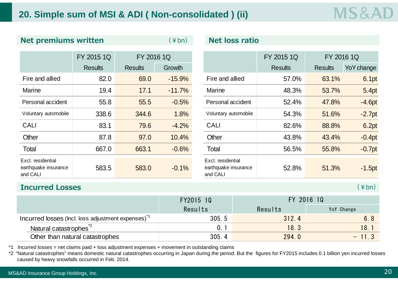### **20. Simple sum of MSI & ADI ( Non-consolidated ) (ii)**

|                                                       | FY 2015 1Q     | FY 2016 1Q     |          |                                                       | FY 2015 1Q     | FY 2016 1Q     |            |
|-------------------------------------------------------|----------------|----------------|----------|-------------------------------------------------------|----------------|----------------|------------|
|                                                       | <b>Results</b> | <b>Results</b> | Growth   |                                                       | <b>Results</b> | <b>Results</b> | YoY change |
| Fire and allied                                       | 82.0           | 69.0           | $-15.9%$ | Fire and allied                                       | 57.0%          | 63.1%          | 6.1pt      |
| <b>Marine</b>                                         | 19.4           | 17.1           | $-11.7%$ | <b>Marine</b>                                         | 48.3%          | 53.7%          | 5.4pt      |
| Personal accident                                     | 55.8           | 55.5           | $-0.5%$  | Personal accident                                     | 52.4%          | 47.8%          | $-4.6pt$   |
| Voluntary automobile                                  | 338.6          | 344.6          | 1.8%     | Voluntary automobile                                  | 54.3%          | 51.6%          | $-2.7pt$   |
| <b>CALI</b>                                           | 83.1           | 79.6           | $-4.2%$  | <b>CALI</b>                                           | 82.6%          | 88.8%          | 6.2pt      |
| Other                                                 | 87.8           | 97.0           | 10.4%    | Other                                                 | 43.8%          | 43.4%          | $-0.4pt$   |
| Total                                                 | 667.0          | 663.1          | $-0.6%$  | Total                                                 | 56.5%          | 55.8%          | $-0.7$ pt  |
| Excl. residential<br>earthquake insurance<br>and CALI | 583.5          | 583.0          | $-0.1%$  | Excl. residential<br>earthquake insurance<br>and CALI | 52.8%          | 51.3%          | $-1.5pt$   |

**Net premiums written** ( $4$ bn) **Net loss ratio** 

|                            | FY 2015 1Q     |                | FY 2016 1Q |  |                                                       | FY 2015 1Q     | FY 2016 1Q     |            |
|----------------------------|----------------|----------------|------------|--|-------------------------------------------------------|----------------|----------------|------------|
|                            | <b>Results</b> | <b>Results</b> | Growth     |  |                                                       | <b>Results</b> | <b>Results</b> | YoY change |
| nd allied                  | 82.0           | 69.0           | $-15.9%$   |  | Fire and allied                                       | 57.0%          | 63.1%          | 6.1pt      |
| е                          | 19.4           | 17.1           | $-11.7%$   |  | <b>Marine</b>                                         | 48.3%          | 53.7%          | 5.4pt      |
| nal accident               | 55.8           | 55.5           | $-0.5%$    |  | Personal accident                                     | 52.4%          | 47.8%          | $-4.6pt$   |
| ary automobile             | 338.6          | 344.6          | 1.8%       |  | Voluntary automobile                                  | 54.3%          | 51.6%          | $-2.7pt$   |
|                            | 83.1           | 79.6           | $-4.2%$    |  | <b>CALI</b>                                           | 82.6%          | 88.8%          | 6.2pt      |
|                            | 87.8           | 97.0           | 10.4%      |  | Other                                                 | 43.8%          | 43.4%          | $-0.4pt$   |
|                            | 667.0          | 663.1          | $-0.6%$    |  | Total                                                 | 56.5%          | 55.8%          | $-0.7$ pt  |
| sidential<br>ake insurance | 583.5          | 583.0          | $-0.1%$    |  | Excl. residential<br>earthquake insurance<br>and CALI | 52.8%          | 51.3%          | $-1.5pt$   |

#### **Incurred Losses**

(¥bn)

|                                                               | FY2015 10 | FY 2016 10 |            |  |
|---------------------------------------------------------------|-----------|------------|------------|--|
|                                                               | Results   | Results    | YoY Change |  |
| Incurred losses (lncl. loss adjustment expenses) <sup>1</sup> | 305.5     | 312.4      | 6.8        |  |
| Natural catastrophes <sup>2</sup>                             |           | 18.3       | 18.1       |  |
| Other than natural catastrophes                               | 305.4     | 294.0      | $-11.3$    |  |

\*1 Incurred losses = net claims paid + loss adjustment expenses + movement in outstanding claims

\*2 "Natural catastrophes" means domestic natural catastrophes occurring in Japan during the period. But the figures for FY2015 includes 0.1 billion yen incurred losses caused by heavy snowfalls occurred in Feb. 2014.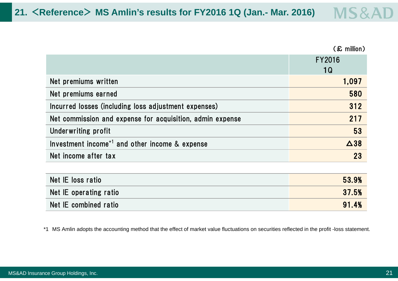(£ million)

|                                                               | FY2016<br>1Q |
|---------------------------------------------------------------|--------------|
| Net premiums written                                          | 1,097        |
| Net premiums earned                                           | 580          |
| Incurred losses (including loss adjustment expenses)          | 312          |
| Net commission and expense for acquisition, admin expense     | 217          |
| Underwriting profit                                           | 53           |
| Investment income <sup>+1</sup> and other income $\&$ expense | $\Delta$ 38  |
| Net income after tax                                          | 23           |

| Net IE loss ratio      | 53.9% |
|------------------------|-------|
| Net IE operating ratio | 37.5% |
| Net IE combined ratio  | 91.4% |

\*1 MS Amlin adopts the accounting method that the effect of market value fluctuations on securities reflected in the profit -loss statement.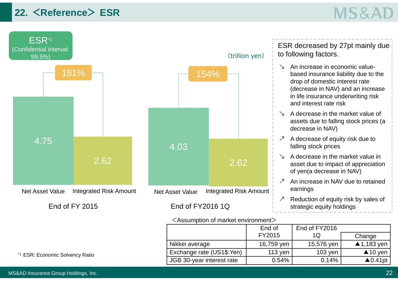### **22. <Reference> ESR**

# **MS&AD**



#### <Assumption of market environment>

End of  $T'/2015$ 

ESR decreased by 27pt mainly due to following factors.

- ↘ An increase in economic valuebased insurance liability due to the drop of domestic interest rate (decrease in NAV) and an increase in life insurance underwriting risk and interest rate risk
- ↘ A decrease in the market value of assets due to falling stock prices (a decrease in NAV)
- $\mathcal{P}$  A decrease of equity risk due to falling stock prices
- ↘ A decrease in the market value in asset due to impact of appreciation of yen(a decrease in NAV)
- ↗ An increase in NAV due to retained earnings
- ↗ Reduction of equity risk by sales of strategic equity holdings

End of FY2016  $1<sub>O</sub>$ 

|                           | <b>FIZUI</b> | ש ו        | Change                |
|---------------------------|--------------|------------|-----------------------|
| Nikkei average            | 16,759 yen   | 15,576 yen | $\triangle$ 1,183 yen |
| Exchange rate (US1\$:Yen) | 113 yen      | $103$ yen  | $\triangle$ 10 yen    |
| JGB 30-year interest rate | 0.54%        | 0.14%      | ▲ $0.41$ pt           |

\*1 ESR: Economic Solvency Ratio

**Change**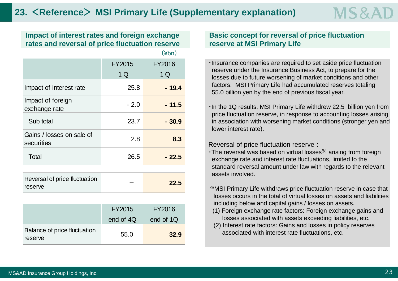$(x<sub>b</sub>)$ **Impact of interest rates and foreign exchange rates and reversal of price fluctuation reserve**

|                                          |        | (¥bn)   |
|------------------------------------------|--------|---------|
|                                          | FY2015 | FY2016  |
|                                          | 1 Q    | 1 Q     |
| Impact of interest rate                  | 25.8   | - 19.4  |
| Impact of foreign<br>exchange rate       | $-2.0$ | $-11.5$ |
| Sub total                                | 23.7   | $-30.9$ |
| Gains / losses on sale of<br>securities  | 2.8    | 8.3     |
| Total                                    | 26.5   | $-22.5$ |
|                                          |        |         |
| Reversal of price fluctuation<br>reserve |        | 22.5    |

|                                         | FY2015    | FY2016    |
|-----------------------------------------|-----------|-----------|
|                                         | end of 4Q | end of 1Q |
| Balance of price fluctuation<br>reserve | 55.0      | 32.9      |

**Basic concept for reversal of price fluctuation reserve at MSI Primary Life**

・Insurance companies are required to set aside price fluctuation reserve under the Insurance Business Act, to prepare for the losses due to future worsening of market conditions and other factors. MSI Primary Life had accumulated reserves totaling 55.0 billion yen by the end of previous fiscal year.

MS8

・In the 1Q results, MSI Primary Life withdrew 22.5 billion yen from price fluctuation reserve, in response to accounting losses arising in association with worsening market conditions (stronger yen and lower interest rate).

#### Reversal of price fluctuation reserve:

- ・The reversal was based on virtual losses※ arising from foreign exchange rate and interest rate fluctuations, limited to the standard reversal amount under law with regards to the relevant assets involved.
- ※MSI Primary Life withdraws price fluctuation reserve in case that losses occurs in the total of virtual losses on assets and liabilitiesincluding below and capital gains / losses on assets.
- (1) Foreign exchange rate factors: Foreign exchange gains and losses associated with assets exceeding liabilities, etc.
- (2) Interest rate factors: Gains and losses in policy reserves associated with interest rate fluctuations, etc.